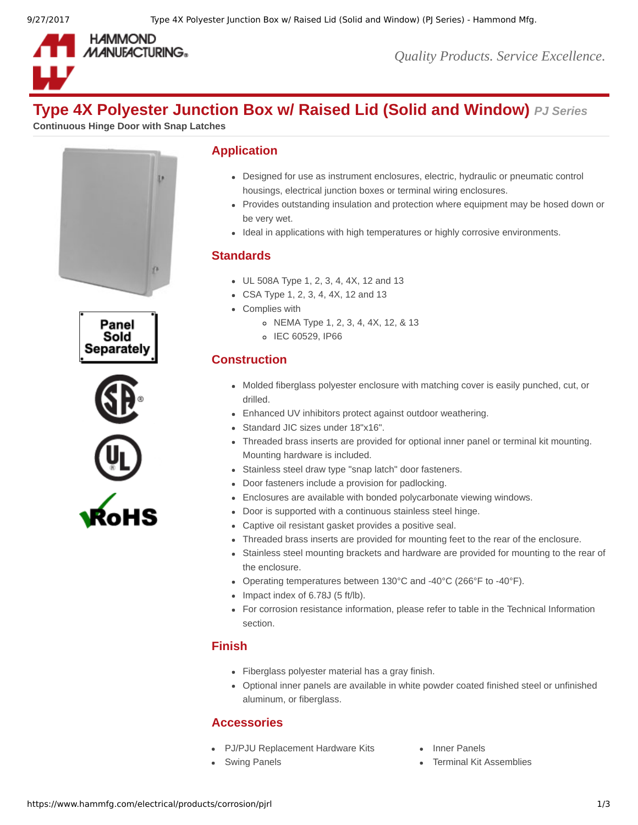

*Quality Products. Service Excellence.*

# **Type 4X Polyester Junction Box w/ Raised Lid (Solid and Window)** *PJ Series*

**Continuous Hinge Door with Snap Latches**







### **Application**

- Designed for use as instrument enclosures, electric, hydraulic or pneumatic control housings, electrical junction boxes or terminal wiring enclosures.
- Provides outstanding insulation and protection where equipment may be hosed down or be very wet.
- Ideal in applications with high temperatures or highly corrosive environments.

# **Standards**

- UL 508A Type 1, 2, 3, 4, 4X, 12 and 13
- CSA Type 1, 2, 3, 4, 4X, 12 and 13
- Complies with
	- NEMA Type 1, 2, 3, 4, 4X, 12, & 13
	- o IEC 60529, IP66

# **Construction**

- Molded fiberglass polyester enclosure with matching cover is easily punched, cut, or drilled.
- Enhanced UV inhibitors protect against outdoor weathering.
- Standard JIC sizes under 18"x16".
- Threaded brass inserts are provided for optional inner panel or terminal kit mounting. Mounting hardware is included.
- Stainless steel draw type "snap latch" door fasteners.
- Door fasteners include a provision for padlocking.
- Enclosures are available with bonded polycarbonate viewing windows.
- Door is supported with a continuous stainless steel hinge.
- Captive oil resistant gasket provides a positive seal.
- Threaded brass inserts are provided for mounting feet to the rear of the enclosure.
- Stainless steel mounting brackets and hardware are provided for mounting to the rear of the enclosure.
- Operating temperatures between 130°C and -40°C (266°F to -40°F).
- $\bullet$  Impact index of 6.78J (5 ft/lb).
- For corrosion resistance information, please refer to table in the Technical Information section.

# **Finish**

- Fiberglass polyester material has a gray finish.
- Optional inner panels are available in white powder coated finished steel or unfinished aluminum, or fiberglass.

# **Accessories**

- [PJ/PJU Replacement Hardware Kits](https://www.hammfg.com/electrical/products/accessories/pjkit?referer=126) [Inner Panels](https://www.hammfg.com/electrical/products/accessories/14p?referer=126)
- 
- 
- [Swing Panels](https://www.hammfg.com/electrical/products/accessories/pjsp?referer=126) **[Terminal Kit Assemblies](https://www.hammfg.com/electrical/products/accessories/14tk?referer=126)**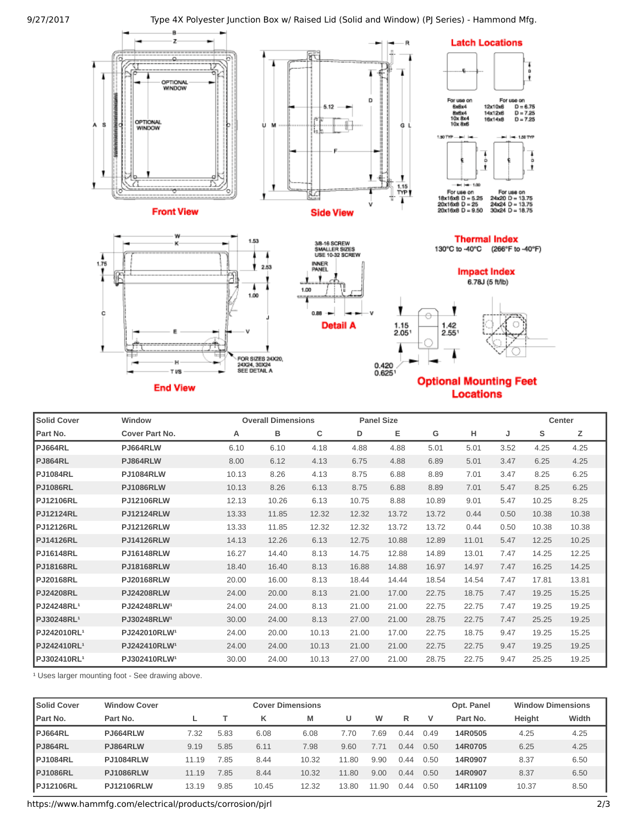

| <b>Solid Cover</b>      | Window                   |       | <b>Overall Dimensions</b> |       | <b>Panel Size</b> |       |       |       |      | Center |       |
|-------------------------|--------------------------|-------|---------------------------|-------|-------------------|-------|-------|-------|------|--------|-------|
| Part No.                | Cover Part No.           | А     | в                         | с     | D                 | Е     | G     | н     | J    | s      | Ζ     |
| <b>PJ664RL</b>          | <b>PJ664RLW</b>          | 6.10  | 6.10                      | 4.18  | 4.88              | 4.88  | 5.01  | 5.01  | 3.52 | 4.25   | 4.25  |
| <b>PJ864RL</b>          | PJ864RLW                 | 8.00  | 6.12                      | 4.13  | 6.75              | 4.88  | 6.89  | 5.01  | 3.47 | 6.25   | 4.25  |
| <b>PJ1084RL</b>         | <b>PJ1084RLW</b>         | 10.13 | 8.26                      | 4.13  | 8.75              | 6.88  | 8.89  | 7.01  | 3.47 | 8.25   | 6.25  |
| <b>PJ1086RL</b>         | <b>PJ1086RLW</b>         | 10.13 | 8.26                      | 6.13  | 8.75              | 6.88  | 8.89  | 7.01  | 5.47 | 8.25   | 6.25  |
| <b>PJ12106RL</b>        | <b>PJ12106RLW</b>        | 12.13 | 10.26                     | 6.13  | 10.75             | 8.88  | 10.89 | 9.01  | 5.47 | 10.25  | 8.25  |
| <b>PJ12124RL</b>        | <b>PJ12124RLW</b>        | 13.33 | 11.85                     | 12.32 | 12.32             | 13.72 | 13.72 | 0.44  | 0.50 | 10.38  | 10.38 |
| <b>PJ12126RL</b>        | <b>PJ12126RLW</b>        | 13.33 | 11.85                     | 12.32 | 12.32             | 13.72 | 13.72 | 0.44  | 0.50 | 10.38  | 10.38 |
| <b>PJ14126RL</b>        | <b>PJ14126RLW</b>        | 14.13 | 12.26                     | 6.13  | 12.75             | 10.88 | 12.89 | 11.01 | 5.47 | 12.25  | 10.25 |
| <b>PJ16148RL</b>        | <b>PJ16148RLW</b>        | 16.27 | 14.40                     | 8.13  | 14.75             | 12.88 | 14.89 | 13.01 | 7.47 | 14.25  | 12.25 |
| <b>PJ18168RL</b>        | <b>PJ18168RLW</b>        | 18.40 | 16.40                     | 8.13  | 16.88             | 14.88 | 16.97 | 14.97 | 7.47 | 16.25  | 14.25 |
| <b>PJ20168RL</b>        | <b>PJ20168RLW</b>        | 20.00 | 16.00                     | 8.13  | 18.44             | 14.44 | 18.54 | 14.54 | 7.47 | 17.81  | 13.81 |
| <b>PJ24208RL</b>        | <b>PJ24208RLW</b>        | 24.00 | 20.00                     | 8.13  | 21.00             | 17.00 | 22.75 | 18.75 | 7.47 | 19.25  | 15.25 |
| PJ24248RL <sup>1</sup>  | PJ24248RLW <sup>1</sup>  | 24.00 | 24.00                     | 8.13  | 21.00             | 21.00 | 22.75 | 22.75 | 7.47 | 19.25  | 19.25 |
| PJ30248RL <sup>1</sup>  | PJ30248RLW <sup>1</sup>  | 30.00 | 24.00                     | 8.13  | 27.00             | 21.00 | 28.75 | 22.75 | 7.47 | 25.25  | 19.25 |
| PJ242010RL <sup>1</sup> | PJ242010RLW <sup>1</sup> | 24.00 | 20.00                     | 10.13 | 21.00             | 17.00 | 22.75 | 18.75 | 9.47 | 19.25  | 15.25 |
| PJ242410RL <sup>1</sup> | PJ242410RLW <sup>1</sup> | 24.00 | 24.00                     | 10.13 | 21.00             | 21.00 | 22.75 | 22.75 | 9.47 | 19.25  | 19.25 |
| PJ302410RL <sup>1</sup> | PJ302410RLW <sup>1</sup> | 30.00 | 24.00                     | 10.13 | 27.00             | 21.00 | 28.75 | 22.75 | 9.47 | 25.25  | 19.25 |

<sup>1</sup> Uses larger mounting foot - See drawing above.

| <b>Solid Cover</b> | <b>Window Cover</b> |       | <b>Cover Dimensions</b> |       |       |                 |                |      |      |          | <b>Window Dimensions</b> |       |
|--------------------|---------------------|-------|-------------------------|-------|-------|-----------------|----------------|------|------|----------|--------------------------|-------|
| <b>I</b> Part No.  | Part No.            |       |                         | κ     | м     |                 | W              | R    | v    | Part No. | <b>Height</b>            | Width |
| PJ664RL            | PJ664RLW            | 7.32  | 5.83                    | 6.08  | 6.08  | $^{\prime}$ .70 | $^{\prime}.69$ | 0.44 | 0.49 | 14R0505  | 4.25                     | 4.25  |
| PJ864RL            | PJ864RLW            | 9.19  | 5.85                    | 6.11  | 7.98  | 9.60            | 7.71           | 0.44 | 0.50 | 14R0705  | 6.25                     | 4.25  |
| <b>PJ1084RL</b>    | <b>PJ1084RLW</b>    | 11.19 | .85                     | 8.44  | 10.32 | 11.80           | 9.90           | 0.44 | 0.50 | 14R0907  | 8.37                     | 6.50  |
| <b>PJ1086RL</b>    | <b>PJ1086RLW</b>    | 11.19 | 7.85                    | 8.44  | 10.32 | 11.80           | 9.00           | 0.44 | 0.50 | 14R0907  | 8.37                     | 6.50  |
| <b>PJ12106RL</b>   | <b>PJ12106RLW</b>   | 13.19 | 9.85                    | 10.45 | 12.32 | 13.80           | 9ſ<br>11       | 0.44 | 0.50 | 14R1109  | 10.37                    | 8.50  |